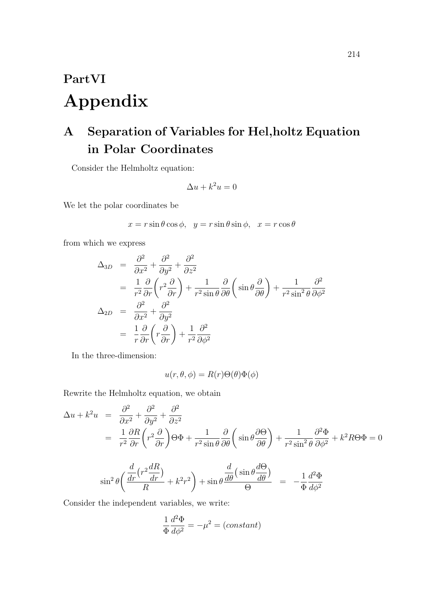# **PartVI Appendix**

## **A Separation of Variables for Hel,holtz Equation in Polar Coordinates**

Consider the Helmholtz equation:

$$
\Delta u + k^2 u = 0
$$

We let the polar coordinates be

$$
x = r\sin\theta\cos\phi, \ \ y = r\sin\theta\sin\phi, \ \ x = r\cos\theta
$$

from which we express

$$
\Delta_{3D} = \frac{\partial^2}{\partial x^2} + \frac{\partial^2}{\partial y^2} + \frac{\partial^2}{\partial z^2}
$$
  
\n
$$
= \frac{1}{r^2} \frac{\partial}{\partial r} \left( r^2 \frac{\partial}{\partial r} \right) + \frac{1}{r^2 \sin \theta} \frac{\partial}{\partial \theta} \left( \sin \theta \frac{\partial}{\partial \theta} \right) + \frac{1}{r^2 \sin^2 \theta} \frac{\partial^2}{\partial \phi^2}
$$
  
\n
$$
\Delta_{2D} = \frac{\partial^2}{\partial x^2} + \frac{\partial^2}{\partial y^2}
$$
  
\n
$$
= \frac{1}{r} \frac{\partial}{\partial r} \left( r \frac{\partial}{\partial r} \right) + \frac{1}{r^2} \frac{\partial^2}{\partial \phi^2}
$$

In the three-dimension:

$$
u(r, \theta, \phi) = R(r)\Theta(\theta)\Phi(\phi)
$$

Rewrite the Helmholtz equation, we obtain

$$
\Delta u + k^2 u = \frac{\partial^2}{\partial x^2} + \frac{\partial^2}{\partial y^2} + \frac{\partial^2}{\partial z^2}
$$
  
=  $\frac{1}{r^2} \frac{\partial R}{\partial r} \left( r^2 \frac{\partial}{\partial r} \right) \Theta \Phi + \frac{1}{r^2 \sin \theta} \frac{\partial}{\partial \theta} \left( \sin \theta \frac{\partial \Theta}{\partial \theta} \right) + \frac{1}{r^2 \sin^2 \theta} \frac{\partial^2 \Phi}{\partial \phi^2} + k^2 R \Theta \Phi = 0$ 

$$
\sin^2\theta \left( \frac{\frac{d}{dr} \left( r^2 \frac{dR}{dr} \right)}{R} + k^2 r^2 \right) + \sin\theta \frac{\frac{d}{d\theta} \left( \sin\theta \frac{d\Theta}{d\theta} \right)}{\Theta} = -\frac{1}{\Phi} \frac{d^2\Phi}{d\phi^2}
$$

Consider the independent variables, we write:

$$
\frac{1}{\Phi} \frac{d^2 \Phi}{d\phi^2} = -\mu^2 = (constant)
$$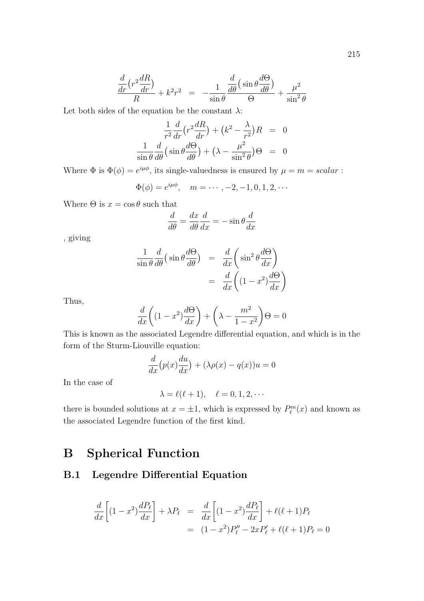$$
\frac{\frac{d}{dr}\left(r^2\frac{dR}{dr}\right)}{R} + k^2r^2 = -\frac{1}{\sin\theta}\frac{\frac{d}{d\theta}\left(\sin\theta\frac{d\Theta}{d\theta}\right)}{\Theta} + \frac{\mu^2}{\sin^2\theta}
$$

Let both sides of the equation be the constant  $\lambda$ :

$$
\frac{1}{r^2}\frac{d}{dr}\left(r^2\frac{dR}{dr}\right) + \left(k^2 - \frac{\lambda}{r^2}\right)R = 0
$$
  

$$
\frac{1}{\sin\theta}\frac{d}{d\theta}\left(\sin\theta\frac{d\Theta}{d\theta}\right) + \left(\lambda - \frac{\mu^2}{\sin^2\theta}\right)\Theta = 0
$$

Where  $\Phi$  is  $\Phi(\phi) = e^{i\mu\phi}$ , its single-valuedness is ensured by  $\mu = m = scalar$ :

$$
\Phi(\phi) = e^{i\mu\phi}, \quad m = \cdots, -2, -1, 0, 1, 2, \cdots
$$

Where  $\Theta$  is  $x = \cos \theta$  such that

$$
\frac{d}{d\theta} = \frac{dx}{d\theta} \frac{d}{dx} = -\sin\theta \frac{d}{dx}
$$

, giving

$$
\frac{1}{\sin \theta} \frac{d}{d\theta} \left( \sin \theta \frac{d\Theta}{d\theta} \right) = \frac{d}{dx} \left( \sin^2 \theta \frac{d\Theta}{dx} \right)
$$

$$
= \frac{d}{dx} \left( (1 - x^2) \frac{d\Theta}{dx} \right)
$$

Thus,

$$
\frac{d}{dx}\left((1-x^2)\frac{d\Theta}{dx}\right) + \left(\lambda - \frac{m^2}{1-x^2}\right)\Theta = 0
$$

This is known as the associated Legendre differential equation, and which is in the form of the Sturm-Liouville equation:

$$
\frac{d}{dx}\big(p(x)\frac{du}{dx}\big) + (\lambda \rho(x) - q(x))u = 0
$$

In the case of

$$
\lambda = \ell(\ell+1), \quad \ell = 0, 1, 2, \cdots
$$

there is bounded solutions at  $x = \pm 1$ , which is expressed by  $P_{\ell}^{m}(x)$  and known as the associated Legendre function of the first kind.

## **B Spherical Function**

#### **B.1 Legendre Differential Equation**

$$
\frac{d}{dx}\left[ (1-x^2)\frac{dP_\ell}{dx} \right] + \lambda P_\ell = \frac{d}{dx}\left[ (1-x^2)\frac{dP_\ell}{dx} \right] + \ell(\ell+1)P_\ell
$$
  
=  $(1-x^2)P''_\ell - 2xP'_\ell + \ell(\ell+1)P_\ell = 0$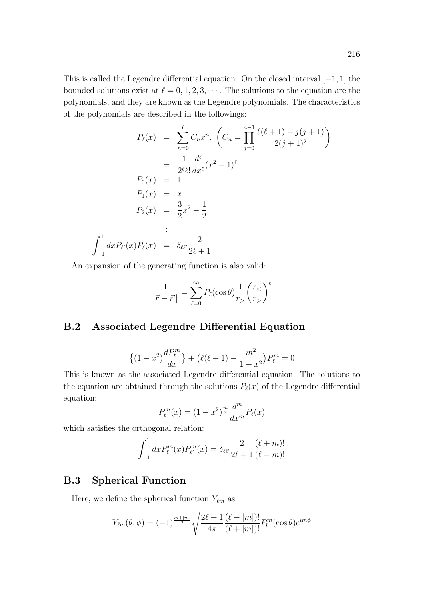$$
P_{\ell}(x) = \sum_{n=0}^{\ell} C_n x^n, \left( C_n = \prod_{j=0}^{n-1} \frac{\ell(\ell+1) - j(j+1)}{2(j+1)^2} \right)
$$
  

$$
= \frac{1}{2^{\ell} \ell!} \frac{d^{\ell}}{dx^{\ell}} (x^2 - 1)^{\ell}
$$
  

$$
P_0(x) = 1
$$
  

$$
P_1(x) = x
$$
  

$$
P_2(x) = \frac{3}{2} x^2 - \frac{1}{2}
$$
  

$$
\vdots
$$
  

$$
dx P_{\ell'}(x) P_{\ell}(x) = \delta_{\ell \ell'} \frac{2}{2\ell + 1}
$$

An expansion of the generating function is also valid:

$$
\frac{1}{|\vec{r} - \vec{r'}|} = \sum_{\ell=0}^{\infty} P_{\ell}(\cos \theta) \frac{1}{r_{>}} \left(\frac{r_{<}}{r_{>}}\right)^{\ell}
$$

#### **B.2 Associated Legendre Differential Equation**

$$
\{(1-x^2)\frac{dP_{\ell}^m}{dx}\} + (\ell(\ell+1) - \frac{m^2}{1-x^2})P_{\ell}^m = 0
$$

This is known as the associated Legendre differential equation. The solutions to the equation are obtained through the solutions  $P_{\ell}(x)$  of the Legendre differential equation:

$$
P_{\ell}^{m}(x) = (1 - x^{2})^{\frac{m}{2}} \frac{d^{m}}{dx^{m}} P_{\ell}(x)
$$

which satisfies the orthogonal relation:

 $\int_1^1$ 

*−*1

$$
\int_{-1}^{1} dx P_{\ell}^{m}(x) P_{\ell'}^{m}(x) = \delta_{\ell\ell'} \frac{2}{2\ell+1} \frac{(\ell+m)!}{(\ell-m)!}
$$

#### **B.3 Spherical Function**

Here, we define the spherical function  $Y_{\ell m}$  as

$$
Y_{\ell m}(\theta,\phi) = (-1)^{\frac{m+|m|}{2}} \sqrt{\frac{2\ell+1}{4\pi} \frac{(\ell-|m|)!}{(\ell+|m|)!}} P_l^m(\cos\theta) e^{im\phi}
$$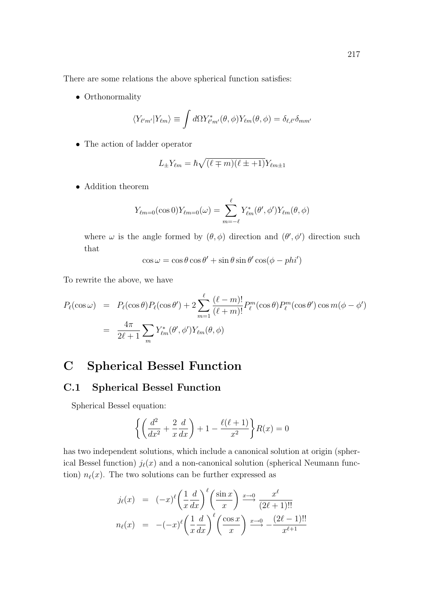There are some relations the above spherical function satisfies:

*•* Orthonormality

$$
\langle Y_{\ell' m'} | Y_{\ell m} \rangle \equiv \int d\Omega Y_{\ell' m'}^*(\theta, \phi) Y_{\ell m}(\theta, \phi) = \delta_{\ell, \ell'} \delta_{m m'}
$$

*•* The action of ladder operator

$$
L_{\pm}Y_{\ell m} = \hbar \sqrt{(\ell \mp m)(\ell \pm 1)}Y_{\ell m \pm 1}
$$

*•* Addition theorem

$$
Y_{\ell m=0}(\cos 0)Y_{\ell m=0}(\omega)=\sum_{m=-\ell}^{\ell}Y_{\ell m}^*(\theta',\phi')Y_{\ell m}(\theta,\phi)
$$

where  $\omega$  is the angle formed by  $(\theta, \phi)$  direction and  $(\theta', \phi')$  direction such that

$$
\cos \omega = \cos \theta \cos \theta' + \sin \theta \sin \theta' \cos(\phi - phi')
$$

To rewrite the above, we have

$$
P_{\ell}(\cos \omega) = P_{\ell}(\cos \theta)P_{\ell}(\cos \theta') + 2\sum_{m=1}^{\ell} \frac{(\ell - m)!}{(\ell + m)!} P_{\ell}^{m}(\cos \theta)P_{\ell}^{m}(\cos \theta')\cos m(\phi - \phi')
$$
  
= 
$$
\frac{4\pi}{2\ell + 1} \sum_{m} Y_{\ell m}^{*}(\theta', \phi')Y_{\ell m}(\theta, \phi)
$$

## **C Spherical Bessel Function**

#### **C.1 Spherical Bessel Function**

Spherical Bessel equation:

$$
\left\{ \left( \frac{d^2}{dx^2} + \frac{2}{x} \frac{d}{dx} \right) + 1 - \frac{\ell(\ell+1)}{x^2} \right\} R(x) = 0
$$

has two independent solutions, which include a canonical solution at origin (spherical Bessel function)  $j_{\ell}(x)$  and a non-canonical solution (spherical Neumann function)  $n_{\ell}(x)$ . The two solutions can be further expressed as

$$
j_{\ell}(x) = (-x)^{\ell} \left(\frac{1}{x} \frac{d}{dx}\right)^{\ell} \left(\frac{\sin x}{x}\right) \xrightarrow{x \to 0} \frac{x^{\ell}}{(2\ell+1)!!}
$$

$$
n_{\ell}(x) = -(-x)^{\ell} \left(\frac{1}{x} \frac{d}{dx}\right)^{\ell} \left(\frac{\cos x}{x}\right) \xrightarrow{x \to 0} -\frac{(2\ell-1)!!}{x^{\ell+1}}
$$